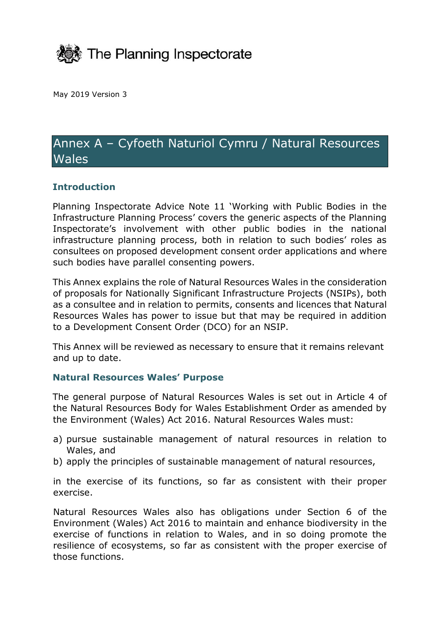

May 2019 Version 3

# Annex A – Cyfoeth Naturiol Cymru / Natural Resources **Wales**

## **Introduction**

Planning Inspectorate Advice Note 11 'Working with Public Bodies in the Infrastructure Planning Process' covers the generic aspects of the Planning Inspectorate's involvement with other public bodies in the national infrastructure planning process, both in relation to such bodies' roles as consultees on proposed development consent order applications and where such bodies have parallel consenting powers.

This Annex explains the role of Natural Resources Wales in the consideration of proposals for Nationally Significant Infrastructure Projects (NSIPs), both as a consultee and in relation to permits, consents and licences that Natural Resources Wales has power to issue but that may be required in addition to a Development Consent Order (DCO) for an NSIP.

This Annex will be reviewed as necessary to ensure that it remains relevant and up to date.

#### **Natural Resources Wales' Purpose**

The general purpose of Natural Resources Wales is set out in Article 4 of the Natural Resources Body for Wales Establishment Order as amended by the Environment (Wales) Act 2016. Natural Resources Wales must:

- a) pursue sustainable management of natural resources in relation to Wales, and
- b) apply the principles of sustainable management of natural resources,

in the exercise of its functions, so far as consistent with their proper exercise.

Natural Resources Wales also has obligations under Section 6 of the Environment (Wales) Act 2016 to maintain and enhance biodiversity in the exercise of functions in relation to Wales, and in so doing promote the resilience of ecosystems, so far as consistent with the proper exercise of those functions.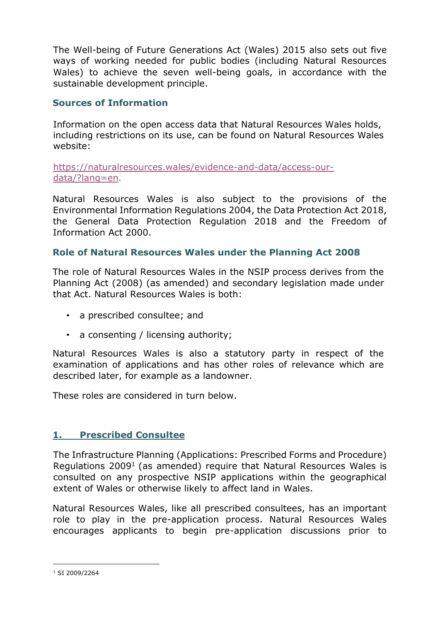The Well-being of Future Generations Act (Wales) 2015 also sets out five ways of working needed for public bodies (including Natural Resources Wales) to achieve the seven well-being goals, in accordance with the sustainable development principle.

## **Sources of Information**

Information on the open access data that Natural Resources Wales holds, including restrictions on its use, can be found on Natural Resources Wales website:

[https://naturalresources.wales/evidence-and-data/access-our](https://naturalresources.wales/evidence-and-data/access-our-data/?lang=en)[data/?lang=en](https://naturalresources.wales/evidence-and-data/access-our-data/?lang=en).

Natural Resources Wales is also subject to the provisions of the Environmental Information Regulations 2004, the Data Protection Act 2018, the General Data Protection Regulation 2018 and the Freedom of Information Act 2000.

# **Role of Natural Resources Wales under the Planning Act 2008**

The role of Natural Resources Wales in the NSIP process derives from the Planning Act (2008) (as amended) and secondary legislation made under that Act. Natural Resources Wales is both:

- a prescribed consultee; and
- a consenting / licensing authority;

Natural Resources Wales is also a statutory party in respect of the examination of applications and has other roles of relevance which are described later, for example as a landowner.

These roles are considered in turn below.

# **1. Prescribed Consultee**

The Infrastructure Planning (Applications: Prescribed Forms and Procedure) Regulations 2009<sup>1</sup> (as amended) require that Natural Resources Wales is consulted on any prospective NSIP applications within the geographical extent of Wales or otherwise likely to affect land in Wales.

Natural Resources Wales, like all prescribed consultees, has an important role to play in the pre-application process. Natural Resources Wales encourages applicants to begin pre-application discussions prior to

<sup>&</sup>lt;sup>1</sup> SI 2009/2264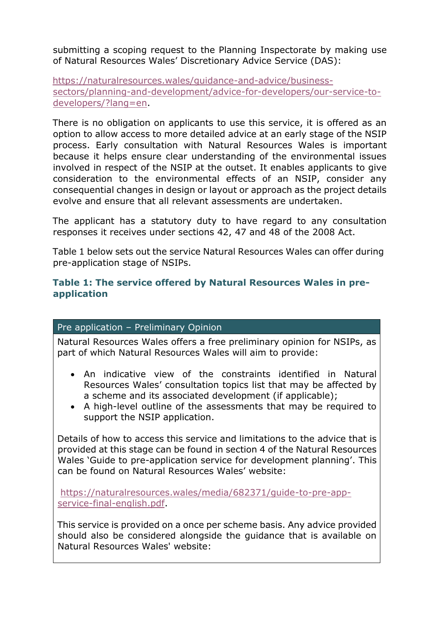submitting a scoping request to the Planning Inspectorate by making use of Natural Resources Wales' Discretionary Advice Service (DAS):

[https://naturalresources.wales/guidance-and-advice/business](https://naturalresources.wales/guidance-and-advice/business-sectors/planning-and-development/advice-for-developers/our-service-to-developers/?lang=en)[sectors/planning-and-development/advice-for-developers/our-service-to](https://naturalresources.wales/guidance-and-advice/business-sectors/planning-and-development/advice-for-developers/our-service-to-developers/?lang=en)[developers/?lang=en.](https://naturalresources.wales/guidance-and-advice/business-sectors/planning-and-development/advice-for-developers/our-service-to-developers/?lang=en)

There is no obligation on applicants to use this service, it is offered as an option to allow access to more detailed advice at an early stage of the NSIP process. Early consultation with Natural Resources Wales is important because it helps ensure clear understanding of the environmental issues involved in respect of the NSIP at the outset. It enables applicants to give consideration to the environmental effects of an NSIP, consider any consequential changes in design or layout or approach as the project details evolve and ensure that all relevant assessments are undertaken.

The applicant has a statutory duty to have regard to any consultation responses it receives under sections 42, 47 and 48 of the 2008 Act.

Table 1 below sets out the service Natural Resources Wales can offer during pre-application stage of NSIPs.

## **Table 1: The service offered by Natural Resources Wales in preapplication**

#### Pre application – Preliminary Opinion

Natural Resources Wales offers a free preliminary opinion for NSIPs, as part of which Natural Resources Wales will aim to provide:

- An indicative view of the constraints identified in Natural Resources Wales' consultation topics list that may be affected by a scheme and its associated development (if applicable);
- A high-level outline of the assessments that may be required to support the NSIP application.

Details of how to access this service and limitations to the advice that is provided at this stage can be found in section 4 of the Natural Resources Wales 'Guide to pre-application service for development planning'. This can be found on Natural Resources Wales' website:

[https://naturalresources.wales/media/682371/guide-to-pre-app](https://naturalresources.wales/media/682371/guide-to-pre-app-service-final-english.pdf)[service-final-english.pdf.](https://naturalresources.wales/media/682371/guide-to-pre-app-service-final-english.pdf)

This service is provided on a once per scheme basis. Any advice provided should also be considered alongside the guidance that is available on Natural Resources Wales' website: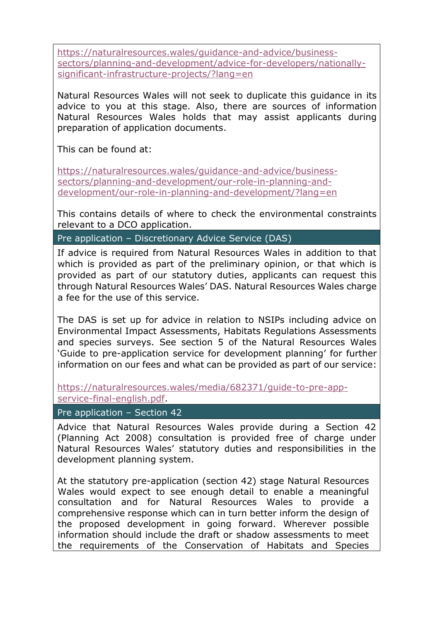[https://naturalresources.wales/guidance-and-advice/business](https://naturalresources.wales/guidance-and-advice/business-sectors/planning-and-development/advice-for-developers/nationally-significant-infrastructure-projects/?lang=en)[sectors/planning-and-development/advice-for-developers/nationally](https://naturalresources.wales/guidance-and-advice/business-sectors/planning-and-development/advice-for-developers/nationally-significant-infrastructure-projects/?lang=en)[significant-infrastructure-projects/?lang=en](https://naturalresources.wales/guidance-and-advice/business-sectors/planning-and-development/advice-for-developers/nationally-significant-infrastructure-projects/?lang=en)

Natural Resources Wales will not seek to duplicate this guidance in its advice to you at this stage. Also, there are sources of information Natural Resources Wales holds that may assist applicants during preparation of application documents.

This can be found at:

[https://naturalresources.wales/guidance-and-advice/business](https://naturalresources.wales/guidance-and-advice/business-sectors/planning-and-development/our-role-in-planning-and-development/our-role-in-planning-and-development/?lang=en)[sectors/planning-and-development/our-role-in-planning-and](https://naturalresources.wales/guidance-and-advice/business-sectors/planning-and-development/our-role-in-planning-and-development/our-role-in-planning-and-development/?lang=en)[development/our-role-in-planning-and-development/?lang=en](https://naturalresources.wales/guidance-and-advice/business-sectors/planning-and-development/our-role-in-planning-and-development/our-role-in-planning-and-development/?lang=en)

This contains details of where to check the environmental constraints relevant to a DCO application.

#### Pre application – Discretionary Advice Service (DAS)

If advice is required from Natural Resources Wales in addition to that which is provided as part of the preliminary opinion, or that which is provided as part of our statutory duties, applicants can request this through Natural Resources Wales' DAS. Natural Resources Wales charge a fee for the use of this service.

The DAS is set up for advice in relation to NSIPs including advice on Environmental Impact Assessments, Habitats Regulations Assessments and species surveys. See section 5 of the Natural Resources Wales 'Guide to pre-application service for development planning' for further information on our fees and what can be provided as part of our service:

[https://naturalresources.wales/media/682371/guide-to-pre-app](https://naturalresources.wales/media/682371/guide-to-pre-app-service-final-english.pdf)[service-final-english.pdf.](https://naturalresources.wales/media/682371/guide-to-pre-app-service-final-english.pdf)

#### Pre application – Section 42

Advice that Natural Resources Wales provide during a Section 42 (Planning Act 2008) consultation is provided free of charge under Natural Resources Wales' statutory duties and responsibilities in the development planning system.

At the statutory pre-application (section 42) stage Natural Resources Wales would expect to see enough detail to enable a meaningful consultation and for Natural Resources Wales to provide a comprehensive response which can in turn better inform the design of the proposed development in going forward. Wherever possible information should include the draft or shadow assessments to meet the requirements of the Conservation of Habitats and Species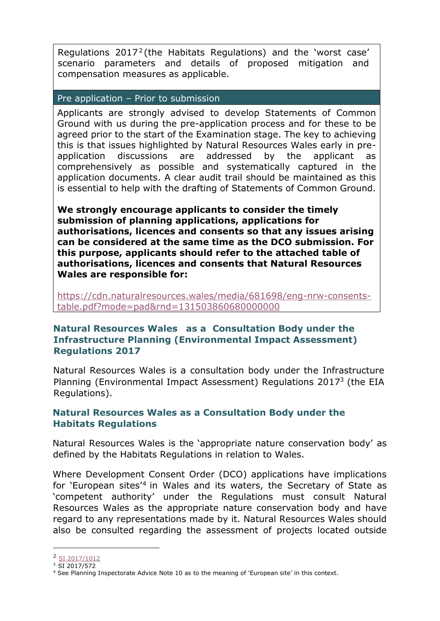Regulations  $2017^2$  (the Habitats Regulations) and the 'worst case' scenario parameters and details of proposed mitigation and compensation measures as applicable.

#### Pre application – Prior to submission

Applicants are strongly advised to develop Statements of Common Ground with us during the pre-application process and for these to be agreed prior to the start of the Examination stage. The key to achieving this is that issues highlighted by Natural Resources Wales early in preapplication discussions are addressed by the applicant as comprehensively as possible and systematically captured in the application documents. A clear audit trail should be maintained as this is essential to help with the drafting of Statements of Common Ground.

**We strongly encourage applicants to consider the timely submission of planning applications, applications for authorisations, licences and consents so that any issues arising can be considered at the same time as the DCO submission. For this purpose, applicants should refer to the attached table of authorisations, licences and consents that Natural Resources Wales are responsible for:**

[https://cdn.naturalresources.wales/media/681698/eng-nrw-consents](https://cdn.naturalresources.wales/media/681698/eng-nrw-consents-table.pdf?mode=pad&rnd=131503860680000000)[table.pdf?mode=pad&rnd=131503860680000000](https://cdn.naturalresources.wales/media/681698/eng-nrw-consents-table.pdf?mode=pad&rnd=131503860680000000)

## **Natural Resources Wales as a Consultation Body under [the](http://www.legislation.gov.uk/uksi/2009/2263/contents/made)  [Infrastructure Planning \(Environmental Impact Assessment\)](http://www.legislation.gov.uk/uksi/2009/2263/contents/made)  [Regulations 2017](http://www.legislation.gov.uk/uksi/2009/2263/contents/made)**

Natural Resources Wales is a consultation body under t[he Infrastructure](http://www.legislation.gov.uk/uksi/2009/2263/contents/made)  [Planning \(Environmental Impact Assessment\) Regulations 2017](http://www.legislation.gov.uk/uksi/2009/2263/contents/made)<sup>3</sup> (the EIA Regulations).

## **Natural Resources Wales as a Consultation Body under the Habitats Regulations**

Natural Resources Wales is the 'appropriate nature conservation body' as defined by the Habitats Regulations in relation to Wales.

Where Development Consent Order (DCO) applications have implications for 'European sites<sup>'4</sup> in Wales and its waters, the Secretary of State as 'competent authority' under the Regulations must consult Natural Resources Wales as the appropriate nature conservation body and have regard to any representations made by it. Natural Resources Wales should also be consulted regarding the assessment of projects located outside

<sup>&</sup>lt;sup>2</sup> [SI 2017/1012](http://www.legislation.gov.uk/uksi/2017/1012/introduction/made)

 $3 \overline{SI 2017/572}$ 

<sup>4</sup> See Planning Inspectorate Advice Note 10 as to the meaning of 'European site' in this context.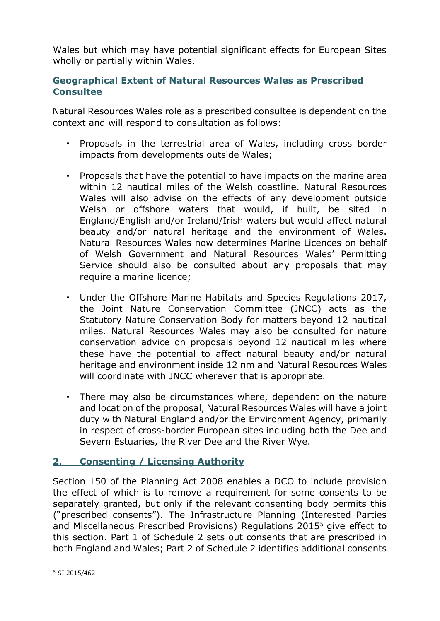Wales but which may have potential significant effects for European Sites wholly or partially within Wales.

# **Geographical Extent of Natural Resources Wales as Prescribed Consultee**

Natural Resources Wales role as a prescribed consultee is dependent on the context and will respond to consultation as follows:

- Proposals in the terrestrial area of Wales, including cross border impacts from developments outside Wales;
- Proposals that have the potential to have impacts on the marine area within 12 nautical miles of the Welsh coastline. Natural Resources Wales will also advise on the effects of any development outside Welsh or offshore waters that would, if built, be sited in England/English and/or Ireland/Irish waters but would affect natural beauty and/or natural heritage and the environment of Wales. Natural Resources Wales now determines Marine Licences on behalf of Welsh Government and Natural Resources Wales' Permitting Service should also be consulted about any proposals that may require a marine licence;
- Under the Offshore Marine Habitats and Species Regulations 2017, the Joint Nature Conservation Committee (JNCC) acts as the Statutory Nature Conservation Body for matters beyond 12 nautical miles. Natural Resources Wales may also be consulted for nature conservation advice on proposals beyond 12 nautical miles where these have the potential to affect natural beauty and/or natural heritage and environment inside 12 nm and Natural Resources Wales will coordinate with JNCC wherever that is appropriate.
- There may also be circumstances where, dependent on the nature and location of the proposal, Natural Resources Wales will have a joint duty with Natural England and/or the Environment Agency, primarily in respect of cross-border European sites including both the Dee and Severn Estuaries, the River Dee and the River Wye.

# **2. Consenting / Licensing Authority**

Section 150 of the Planning Act 2008 enables a DCO to include provision the effect of which is to remove a requirement for some consents to be separately granted, but only if the relevant consenting body permits this ("prescribed consents"). The Infrastructure Planning (Interested Parties and Miscellaneous Prescribed Provisions) Regulations 2015<sup>5</sup> give effect to this section. Part 1 of Schedule 2 sets out consents that are prescribed in both England and Wales; Part 2 of Schedule 2 identifies additional consents

<sup>5</sup> SI 2015/462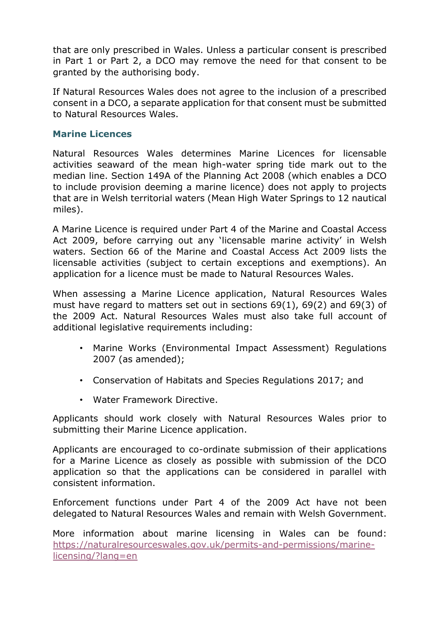that are only prescribed in Wales. Unless a particular consent is prescribed in Part 1 or Part 2, a DCO may remove the need for that consent to be granted by the authorising body.

If Natural Resources Wales does not agree to the inclusion of a prescribed consent in a DCO, a separate application for that consent must be submitted to Natural Resources Wales.

## **Marine Licences**

Natural Resources Wales determines Marine Licences for licensable activities seaward of the mean high-water spring tide mark out to the median line. Section 149A of the Planning Act 2008 (which enables a DCO to include provision deeming a marine licence) does not apply to projects that are in Welsh territorial waters (Mean High Water Springs to 12 nautical miles).

A Marine Licence is required under Part 4 of the Marine and Coastal Access Act 2009, before carrying out any 'licensable marine activity' in Welsh waters. Section 66 of the Marine and Coastal Access Act 2009 lists the licensable activities (subject to certain exceptions and exemptions). An application for a licence must be made to Natural Resources Wales.

When assessing a Marine Licence application, Natural Resources Wales must have regard to matters set out in sections 69(1), 69(2) and 69(3) of the 2009 Act. Natural Resources Wales must also take full account of additional legislative requirements including:

- Marine Works (Environmental Impact Assessment) Regulations 2007 (as amended);
- Conservation of Habitats and Species Regulations 2017; and
- Water Framework Directive.

Applicants should work closely with Natural Resources Wales prior to submitting their Marine Licence application.

Applicants are encouraged to co-ordinate submission of their applications for a Marine Licence as closely as possible with submission of the DCO application so that the applications can be considered in parallel with consistent information.

Enforcement functions under Part 4 of the 2009 Act have not been delegated to Natural Resources Wales and remain with Welsh Government.

More information about marine licensing in Wales can be found: [https://naturalresourceswales.gov.uk/permits-and-permissions/marine](https://naturalresourceswales.gov.uk/permits-and-permissions/marine-licensing/?lang=en)[licensing/?lang=en](https://naturalresourceswales.gov.uk/permits-and-permissions/marine-licensing/?lang=en)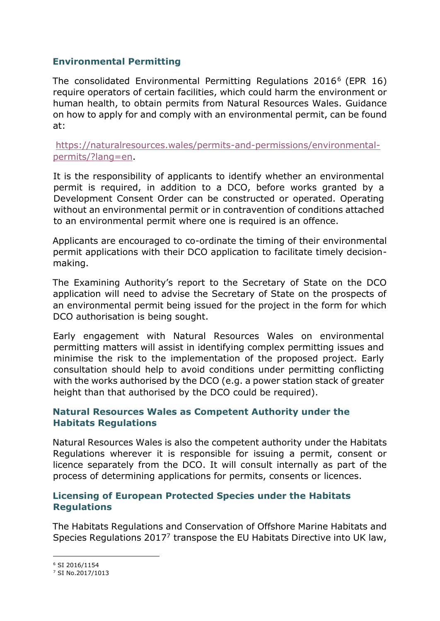## **Environmental Permitting**

The consolidated Environmental Permitting Regulations 2016 <sup>6</sup> (EPR 16) require operators of certain facilities, which could harm the environment or human health, to obtain permits from Natural Resources Wales. Guidance on how to apply for and comply with an environmental permit, can be found at:

[https://naturalresources.wales/permits-and-permissions/environmental](https://naturalresources.wales/permits-and-permissions/environmental-permits/?lang=en)[permits/?lang=en.](https://naturalresources.wales/permits-and-permissions/environmental-permits/?lang=en)

It is the responsibility of applicants to identify whether an environmental permit is required, in addition to a DCO, before works granted by a Development Consent Order can be constructed or operated. Operating without an environmental permit or in contravention of conditions attached to an environmental permit where one is required is an offence.

Applicants are encouraged to co-ordinate the timing of their environmental permit applications with their DCO application to facilitate timely decisionmaking.

The Examining Authority's report to the Secretary of State on the DCO application will need to advise the Secretary of State on the prospects of an environmental permit being issued for the project in the form for which DCO authorisation is being sought.

Early engagement with Natural Resources Wales on environmental permitting matters will assist in identifying complex permitting issues and minimise the risk to the implementation of the proposed project. Early consultation should help to avoid conditions under permitting conflicting with the works authorised by the DCO (e.g. a power station stack of greater height than that authorised by the DCO could be required).

## **Natural Resources Wales as Competent Authority under the Habitats Regulations**

Natural Resources Wales is also the competent authority under the Habitats Regulations wherever it is responsible for issuing a permit, consent or licence separately from the DCO. It will consult internally as part of the process of determining applications for permits, consents or licences.

# **Licensing of European Protected Species under the Habitats Regulations**

The Habitats Regulations and Conservation of Offshore Marine Habitats and Species Regulations 2017<sup>7</sup> transpose the EU Habitats Directive into UK law,

<sup>6</sup> SI 2016/1154

<sup>7</sup> SI No.2017/1013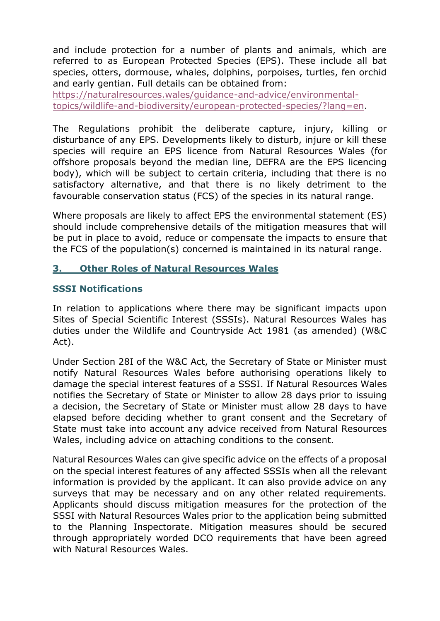and include protection for a number of plants and animals, which are referred to as European Protected Species (EPS). These include all bat species, otters, dormouse, whales, dolphins, porpoises, turtles, fen orchid and early gentian. Full details can be obtained from:

[https://naturalresources.wales/guidance-and-advice/environmental](https://naturalresources.wales/guidance-and-advice/environmental-topics/wildlife-and-biodiversity/european-protected-species/?lang=en)[topics/wildlife-and-biodiversity/european-protected-species/?lang=en.](https://naturalresources.wales/guidance-and-advice/environmental-topics/wildlife-and-biodiversity/european-protected-species/?lang=en)

The Regulations prohibit the deliberate capture, injury, killing or disturbance of any EPS. Developments likely to disturb, injure or kill these species will require an EPS licence from Natural Resources Wales (for offshore proposals beyond the median line, DEFRA are the EPS licencing body), which will be subject to certain criteria, including that there is no satisfactory alternative, and that there is no likely detriment to the favourable conservation status (FCS) of the species in its natural range.

Where proposals are likely to affect EPS the environmental statement (ES) should include comprehensive details of the mitigation measures that will be put in place to avoid, reduce or compensate the impacts to ensure that the FCS of the population(s) concerned is maintained in its natural range.

# **3. Other Roles of Natural Resources Wales**

# **SSSI Notifications**

In relation to applications where there may be significant impacts upon Sites of Special Scientific Interest (SSSIs). Natural Resources Wales has duties under the Wildlife and Countryside Act 1981 (as amended) (W&C Act).

Under Section 28I of the W&C Act, the Secretary of State or Minister must notify Natural Resources Wales before authorising operations likely to damage the special interest features of a SSSI. If Natural Resources Wales notifies the Secretary of State or Minister to allow 28 days prior to issuing a decision, the Secretary of State or Minister must allow 28 days to have elapsed before deciding whether to grant consent and the Secretary of State must take into account any advice received from Natural Resources Wales, including advice on attaching conditions to the consent.

Natural Resources Wales can give specific advice on the effects of a proposal on the special interest features of any affected SSSIs when all the relevant information is provided by the applicant. It can also provide advice on any surveys that may be necessary and on any other related requirements. Applicants should discuss mitigation measures for the protection of the SSSI with Natural Resources Wales prior to the application being submitted to the Planning Inspectorate. Mitigation measures should be secured through appropriately worded DCO requirements that have been agreed with Natural Resources Wales.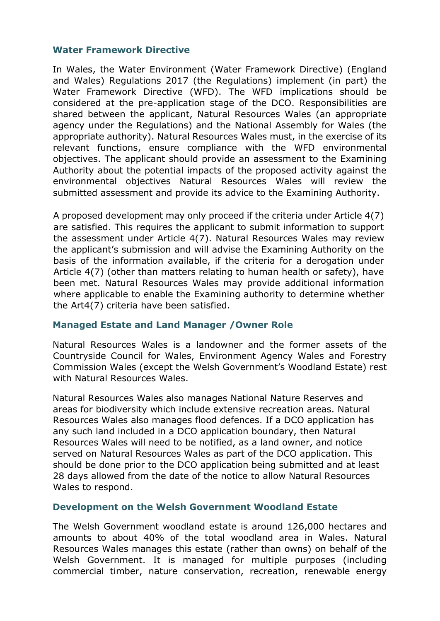#### **Water Framework Directive**

In Wales, the Water Environment (Water Framework Directive) (England and Wales) Regulations 2017 (the Regulations) implement (in part) the Water Framework Directive (WFD). The WFD implications should be considered at the pre-application stage of the DCO. Responsibilities are shared between the applicant, Natural Resources Wales (an appropriate agency under the Regulations) and the National Assembly for Wales (the appropriate authority). Natural Resources Wales must, in the exercise of its relevant functions, ensure compliance with the WFD environmental objectives. The applicant should provide an assessment to the Examining Authority about the potential impacts of the proposed activity against the environmental objectives Natural Resources Wales will review the submitted assessment and provide its advice to the Examining Authority.

A proposed development may only proceed if the criteria under Article 4(7) are satisfied. This requires the applicant to submit information to support the assessment under Article 4(7). Natural Resources Wales may review the applicant's submission and will advise the Examining Authority on the basis of the information available, if the criteria for a derogation under Article 4(7) (other than matters relating to human health or safety), have been met. Natural Resources Wales may provide additional information where applicable to enable the Examining authority to determine whether the Art4(7) criteria have been satisfied.

#### **Managed Estate and Land Manager /Owner Role**

Natural Resources Wales is a landowner and the former assets of the Countryside Council for Wales, Environment Agency Wales and Forestry Commission Wales (except the Welsh Government's Woodland Estate) rest with Natural Resources Wales.

Natural Resources Wales also manages National Nature Reserves and areas for biodiversity which include extensive recreation areas. Natural Resources Wales also manages flood defences. If a DCO application has any such land included in a DCO application boundary, then Natural Resources Wales will need to be notified, as a land owner, and notice served on Natural Resources Wales as part of the DCO application. This should be done prior to the DCO application being submitted and at least 28 days allowed from the date of the notice to allow Natural Resources Wales to respond.

#### **Development on the Welsh Government Woodland Estate**

The Welsh Government woodland estate is around 126,000 hectares and amounts to about 40% of the total woodland area in Wales. Natural Resources Wales manages this estate (rather than owns) on behalf of the Welsh Government. It is managed for multiple purposes (including commercial timber, nature conservation, recreation, renewable energy